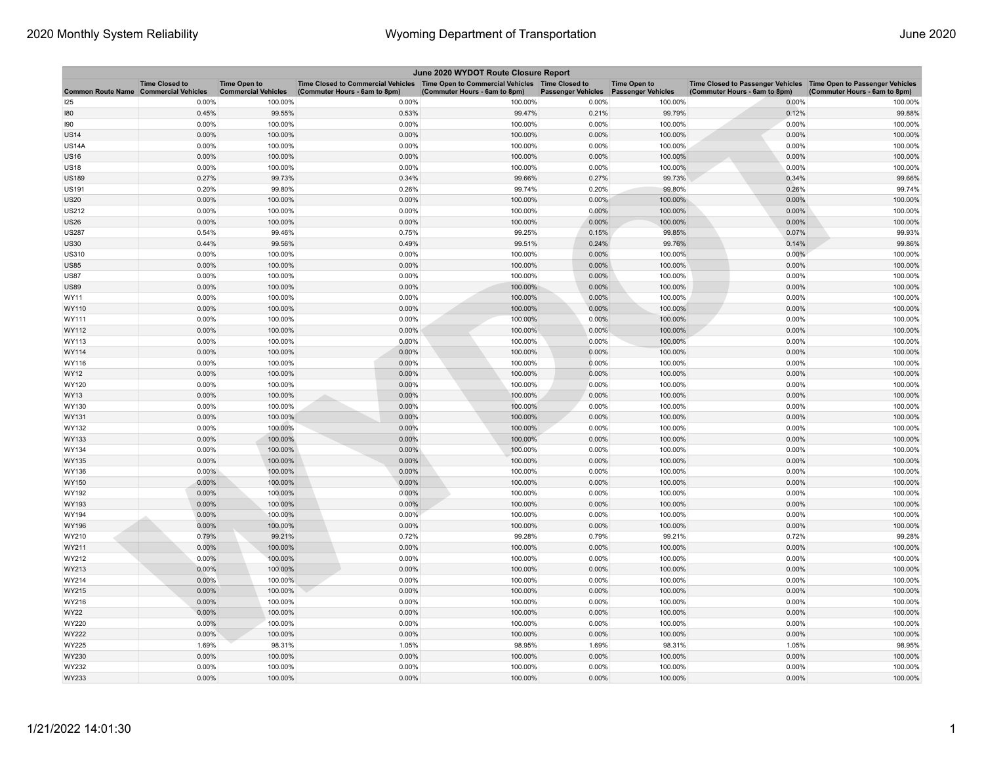| June 2020 WYDOT Route Closure Report |                                                     |                                                   |                                                                                                                         |                               |                           |                                                  |                                                                                                      |                               |  |
|--------------------------------------|-----------------------------------------------------|---------------------------------------------------|-------------------------------------------------------------------------------------------------------------------------|-------------------------------|---------------------------|--------------------------------------------------|------------------------------------------------------------------------------------------------------|-------------------------------|--|
| <b>Common Route Name</b>             | <b>Time Closed to</b><br><b>Commercial Vehicles</b> | <b>Time Open to</b><br><b>Commercial Vehicles</b> | Time Closed to Commercial Vehicles   Time Open to Commercial Vehicles   Time Closed to<br>(Commuter Hours - 6am to 8pm) | (Commuter Hours - 6am to 8pm) | <b>Passenger Vehicles</b> | <b>Time Open to</b><br><b>Passenger Vehicles</b> | Time Closed to Passenger Vehicles   Time Open to Passenger Vehicles<br>(Commuter Hours - 6am to 8pm) | (Commuter Hours - 6am to 8pm) |  |
| 125                                  | 0.00%                                               | 100.00%                                           | 0.00%                                                                                                                   | 100.00%                       | 0.00%                     | 100.00%                                          | 0.00%                                                                                                | 100.00%                       |  |
| 180                                  | 0.45%                                               | 99.55%                                            | 0.53%                                                                                                                   | 99.47%                        | 0.21%                     | 99.79%                                           | 0.12%                                                                                                | 99.88%                        |  |
| 190                                  | 0.00%                                               | 100.00%                                           | 0.00%                                                                                                                   | 100.00%                       | 0.00%                     | 100.00%                                          | 0.00%                                                                                                | 100.00%                       |  |
| <b>US14</b>                          | 0.00%                                               | 100.00%                                           | 0.00%                                                                                                                   | 100.00%                       | 0.00%                     | 100.00%                                          | 0.00%                                                                                                | 100.00%                       |  |
| US14A                                | 0.00%                                               | 100.00%                                           | 0.00%                                                                                                                   | 100.00%                       | 0.00%                     | 100.00%                                          | 0.00%                                                                                                | 100.00%                       |  |
| US16                                 | 0.00%                                               | 100.00%                                           | 0.00%                                                                                                                   | 100.00%                       | 0.00%                     | 100.00%                                          | 0.00%                                                                                                | 100.00%                       |  |
| <b>US18</b>                          | 0.00%                                               | 100.00%                                           | 0.00%                                                                                                                   | 100.00%                       | 0.00%                     | 100.00%                                          | 0.00%                                                                                                | 100.00%                       |  |
| <b>US189</b>                         | 0.27%                                               | 99.73%                                            | 0.34%                                                                                                                   | 99.66%                        | 0.27%                     | 99.73%                                           | 0.34%                                                                                                | 99.66%                        |  |
| US191                                | 0.20%                                               | 99.80%                                            | 0.26%                                                                                                                   | 99.74%                        | 0.20%                     | 99.80%                                           | 0.26%                                                                                                | 99.74%                        |  |
| <b>US20</b>                          | 0.00%                                               | 100.00%                                           | 0.00%                                                                                                                   | 100.00%                       | 0.00%                     | 100.00%                                          | 0.00%                                                                                                | 100.00%                       |  |
| <b>US212</b>                         | 0.00%                                               | 100.00%                                           | 0.00%                                                                                                                   | 100.00%                       | 0.00%                     | 100.00%                                          | 0.00%                                                                                                | 100.00%                       |  |
| US26                                 | 0.00%                                               | 100.00%                                           | 0.00%                                                                                                                   | 100.00%                       | 0.00%                     | 100.00%                                          | 0.00%                                                                                                | 100.00%                       |  |
| <b>US287</b>                         | 0.54%                                               | 99.46%                                            | 0.75%                                                                                                                   | 99.25%                        | 0.15%                     | 99.85%                                           | 0.07%                                                                                                | 99.93%                        |  |
| <b>US30</b>                          | 0.44%                                               | 99.56%                                            | 0.49%                                                                                                                   | 99.51%                        | 0.24%                     | 99.76%                                           | 0.14%                                                                                                | 99.86%                        |  |
| US310                                | 0.00%                                               | 100.00%                                           | 0.00%                                                                                                                   | 100.00%                       | 0.00%                     | 100.00%                                          | 0.00%                                                                                                | 100.00%                       |  |
| <b>US85</b>                          | 0.00%                                               | 100.00%                                           | 0.00%                                                                                                                   | 100.00%                       | 0.00%                     | 100.00%                                          | 0.00%                                                                                                | 100.00%                       |  |
| <b>US87</b>                          | 0.00%                                               | 100.00%                                           | 0.00%                                                                                                                   | 100.00%                       | 0.00%                     | 100.00%                                          | 0.00%                                                                                                | 100.00%                       |  |
| US89                                 | 0.00%                                               | 100.00%                                           | 0.00%                                                                                                                   | 100.00%                       | 0.00%                     | 100.00%                                          | 0.00%                                                                                                | 100.00%                       |  |
| WY11                                 | 0.00%                                               | 100.00%                                           | 0.00%                                                                                                                   | 100.00%                       | 0.00%                     | 100.00%                                          | 0.00%                                                                                                | 100.00%                       |  |
| WY110                                | 0.00%                                               | 100.00%                                           | 0.00%                                                                                                                   | 100.00%                       | 0.00%                     | 100.00%                                          | 0.00%                                                                                                | 100.00%                       |  |
| WY111                                | 0.00%                                               | 100.00%                                           | 0.00%                                                                                                                   | 100.00%                       | 0.00%                     | 100.00%                                          | 0.00%                                                                                                | 100.00%                       |  |
| WY112                                | 0.00%                                               | 100.00%                                           | 0.00%                                                                                                                   | 100.00%                       | 0.00%                     | 100.00%                                          | 0.00%                                                                                                | 100.00%                       |  |
| WY113                                | 0.00%                                               | 100.00%                                           | 0.00%                                                                                                                   | 100.00%                       | 0.00%                     | 100.00%                                          | 0.00%                                                                                                | 100.00%                       |  |
| WY114                                | 0.00%                                               | 100.00%                                           | 0.00%                                                                                                                   | 100.00%                       | 0.00%                     | 100.00%                                          | 0.00%                                                                                                | 100.00%                       |  |
| WY116                                | 0.00%                                               | 100.00%                                           | 0.00%                                                                                                                   | 100.00%                       | 0.00%                     | 100.00%                                          | 0.00%                                                                                                | 100.00%                       |  |
| WY12                                 | 0.00%                                               | 100.00%                                           | 0.00%                                                                                                                   | 100.00%                       | 0.00%                     | 100.00%                                          | 0.00%                                                                                                | 100.00%                       |  |
| WY120                                | 0.00%                                               | 100.00%                                           | 0.00%                                                                                                                   | 100.00%                       | 0.00%                     | 100.00%                                          | 0.00%                                                                                                | 100.00%                       |  |
| WY13                                 | 0.00%                                               | 100.00%                                           | 0.00%                                                                                                                   | 100.00%                       | 0.00%                     | 100.00%                                          | 0.00%                                                                                                | 100.00%                       |  |
| WY130                                | 0.00%                                               | 100.00%                                           | 0.00%                                                                                                                   | 100.00%                       | 0.00%                     | 100.00%                                          | 0.00%                                                                                                | 100.00%                       |  |
| WY131                                | 0.00%                                               | 100.00%                                           | 0.00%                                                                                                                   | 100.00%                       | 0.00%                     | 100.00%                                          | 0.00%                                                                                                | 100.00%                       |  |
| WY132                                | 0.00%                                               | 100.00%                                           | 0.00%                                                                                                                   | 100.00%                       | 0.00%                     | 100.00%                                          | 0.00%                                                                                                | 100.00%                       |  |
| WY133                                | 0.00%                                               | 100.00%                                           | 0.00%                                                                                                                   | 100.00%                       | 0.00%                     | 100.00%                                          | 0.00%                                                                                                | 100.00%                       |  |
| WY134                                | 0.00%                                               | 100.00%                                           | 0.00%                                                                                                                   | 100.00%                       | 0.00%                     | 100.00%                                          | 0.00%                                                                                                | 100.00%                       |  |
| WY135                                | 0.00%                                               | 100.00%                                           | 0.00%                                                                                                                   | 100.00%                       | 0.00%                     | 100.00%                                          | 0.00%                                                                                                | 100.00%                       |  |
| WY136                                | $0.00\%$                                            | 100.00%                                           | 0.00%                                                                                                                   | 100.00%                       | 0.00%                     | 100.00%                                          | 0.00%                                                                                                | 100.00%                       |  |
| WY150                                | 0.00%                                               | 100.00%                                           | 0.00%                                                                                                                   | 100.00%                       | 0.00%                     | 100.00%                                          | 0.00%                                                                                                | 100.00%                       |  |
| WY192                                | 0.00%                                               | 100.00%                                           | 0.00%                                                                                                                   | 100.00%                       | 0.00%                     | 100.00%                                          | 0.00%                                                                                                | 100.00%                       |  |
| WY193                                | 0.00%                                               | 100.00%                                           | 0.00%                                                                                                                   | 100.00%                       | 0.00%                     | 100.00%                                          | 0.00%                                                                                                | 100.00%                       |  |
| WY194                                | 0.00%                                               | 100.00%                                           | 0.00%                                                                                                                   | 100.00%                       | 0.00%                     | 100.00%                                          | 0.00%                                                                                                | 100.00%                       |  |
| WY196                                | 0.00%                                               | 100.00%                                           | 0.00%                                                                                                                   | 100.00%                       | 0.00%                     | 100.00%                                          | 0.00%                                                                                                | 100.00%                       |  |
| WY210                                | 0.79%                                               | 99.21%                                            | 0.72%                                                                                                                   | 99.28%                        | 0.79%                     | 99.21%                                           | 0.72%                                                                                                | 99.28%                        |  |
| WY211                                | 0.00%                                               | 100.00%                                           | 0.00%                                                                                                                   | 100.00%                       | 0.00%                     | 100.00%                                          | 0.00%                                                                                                | 100.00%                       |  |
| WY212                                | 0.00%                                               | 100.00%                                           | 0.00%                                                                                                                   | 100.00%                       | 0.00%                     | 100.00%                                          | 0.00%                                                                                                | 100.00%                       |  |
| WY213                                | 0.00%                                               | 100.00%                                           | 0.00%                                                                                                                   | 100.00%                       | 0.00%                     | 100.00%                                          | 0.00%                                                                                                | 100.00%                       |  |
| WY214                                | 0.00%                                               | 100.00%                                           | 0.00%                                                                                                                   | 100.00%                       | 0.00%                     | 100.00%                                          | 0.00%                                                                                                | 100.00%                       |  |
| WY215                                | 0.00%                                               | 100.00%                                           | 0.00%                                                                                                                   | 100.00%                       | 0.00%                     | 100.00%                                          | 0.00%                                                                                                | 100.00%                       |  |
| WY216                                | 0.00%                                               | 100.00%                                           | 0.00%                                                                                                                   | 100.00%                       | 0.00%                     | 100.00%                                          | 0.00%                                                                                                | 100.00%                       |  |
| WY22                                 | 0.00%                                               | 100.00%                                           | 0.00%                                                                                                                   | 100.00%                       | 0.00%                     | 100.00%                                          | 0.00%                                                                                                | 100.00%                       |  |
| WY220                                | 0.00%                                               | 100.00%                                           | 0.00%                                                                                                                   | 100.00%                       | 0.00%                     | 100.00%                                          | 0.00%                                                                                                | 100.00%                       |  |
| WY222                                | 0.00%                                               | 100.00%                                           | 0.00%                                                                                                                   | 100.00%                       | 0.00%                     | 100.00%                                          | 0.00%                                                                                                | 100.00%                       |  |
| WY225                                | 1.69%                                               | 98.31%                                            | 1.05%                                                                                                                   | 98.95%                        | 1.69%                     | 98.31%                                           | 1.05%                                                                                                | 98.95%                        |  |
| WY230                                | 0.00%                                               | 100.00%                                           | 0.00%                                                                                                                   | 100.00%                       | 0.00%                     | 100.00%                                          | 0.00%                                                                                                | 100.00%                       |  |
| WY232                                | 0.00%                                               | 100.00%                                           | 0.00%                                                                                                                   | 100.00%                       | 0.00%                     | 100.00%                                          | 0.00%                                                                                                | 100.00%                       |  |
| WY233                                | 0.00%                                               | 100.00%                                           | 0.00%                                                                                                                   | 100.00%                       | 0.00%                     | 100.00%                                          | 0.00%                                                                                                | 100.00%                       |  |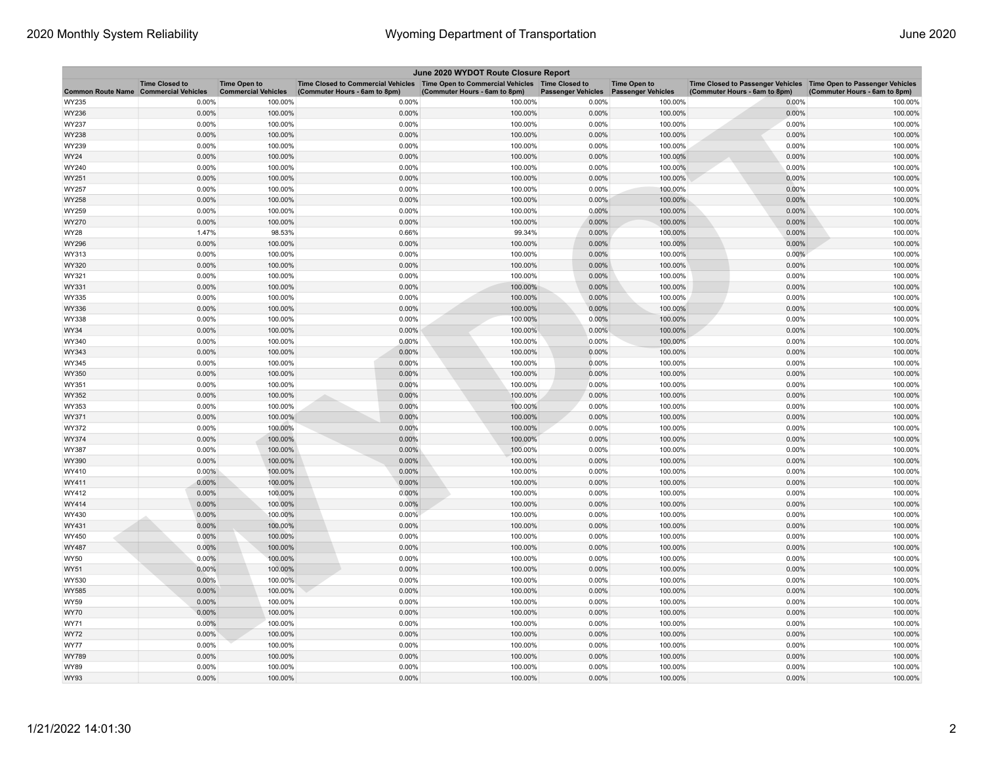| June 2020 WYDOT Route Closure Report |                                                     |                                                   |                                                                                                                         |                               |                           |                                                  |                                                                                                      |                               |  |
|--------------------------------------|-----------------------------------------------------|---------------------------------------------------|-------------------------------------------------------------------------------------------------------------------------|-------------------------------|---------------------------|--------------------------------------------------|------------------------------------------------------------------------------------------------------|-------------------------------|--|
| <b>Common Route Name</b>             | <b>Time Closed to</b><br><b>Commercial Vehicles</b> | <b>Time Open to</b><br><b>Commercial Vehicles</b> | Time Closed to Commercial Vehicles   Time Open to Commercial Vehicles   Time Closed to<br>(Commuter Hours - 6am to 8pm) | (Commuter Hours - 6am to 8pm) | <b>Passenger Vehicles</b> | <b>Time Open to</b><br><b>Passenger Vehicles</b> | Time Closed to Passenger Vehicles   Time Open to Passenger Vehicles<br>(Commuter Hours - 6am to 8pm) | (Commuter Hours - 6am to 8pm) |  |
| WY235                                | 0.00%                                               | 100.00%                                           | 0.00%                                                                                                                   | 100.00%                       | 0.00%                     | 100.00%                                          | 0.00%                                                                                                | 100.00%                       |  |
| WY236                                | 0.00%                                               | 100.00%                                           | 0.00%                                                                                                                   | 100.00%                       | 0.00%                     | 100.00%                                          | 0.00%                                                                                                | 100.00%                       |  |
| WY237                                | 0.00%                                               | 100.00%                                           | 0.00%                                                                                                                   | 100.00%                       | 0.00%                     | 100.00%                                          | 0.00%                                                                                                | 100.00%                       |  |
| WY238                                | 0.00%                                               | 100.00%                                           | 0.00%                                                                                                                   | 100.00%                       | 0.00%                     | 100.00%                                          | 0.00%                                                                                                | 100.00%                       |  |
| WY239                                | 0.00%                                               | 100.00%                                           | 0.00%                                                                                                                   | 100.00%                       | 0.00%                     | 100.00%                                          | 0.00%                                                                                                | 100.00%                       |  |
| WY24                                 | 0.00%                                               | 100.00%                                           | 0.00%                                                                                                                   | 100.00%                       | 0.00%                     | 100.00%                                          | 0.00%                                                                                                | 100.00%                       |  |
| WY240                                | 0.00%                                               | 100.00%                                           | 0.00%                                                                                                                   | 100.00%                       | 0.00%                     | 100.00%                                          | 0.00%                                                                                                | 100.00%                       |  |
| WY251                                | 0.00%                                               | 100.00%                                           | 0.00%                                                                                                                   | 100.00%                       | 0.00%                     | 100.00%                                          | 0.00%                                                                                                | 100.00%                       |  |
| WY257                                | 0.00%                                               | 100.00%                                           | 0.00%                                                                                                                   | 100.00%                       | 0.00%                     | 100.00%                                          | 0.00%                                                                                                | 100.00%                       |  |
| WY258                                | 0.00%                                               | 100.00%                                           | 0.00%                                                                                                                   | 100.00%                       | 0.00%                     | 100.00%                                          | 0.00%                                                                                                | 100.00%                       |  |
| WY259                                | 0.00%                                               | 100.00%                                           | 0.00%                                                                                                                   | 100.00%                       | 0.00%                     | 100.00%                                          | 0.00%                                                                                                | 100.00%                       |  |
| WY270                                | 0.00%                                               | 100.00%                                           | 0.00%                                                                                                                   | 100.00%                       | 0.00%                     | 100.00%                                          | 0.00%                                                                                                | 100.00%                       |  |
| WY28                                 | 1.47%                                               | 98.53%                                            | 0.66%                                                                                                                   | 99.34%                        | 0.00%                     | 100.00%                                          | 0.00%                                                                                                | 100.00%                       |  |
| WY296                                | 0.00%                                               | 100.00%                                           | 0.00%                                                                                                                   | 100.00%                       | 0.00%                     | 100.00%                                          | 0.00%                                                                                                | 100.00%                       |  |
| WY313                                | 0.00%                                               | 100.00%                                           | 0.00%                                                                                                                   | 100.00%                       | 0.00%                     | 100.00%                                          | 0.00%                                                                                                | 100.00%                       |  |
| WY320                                | 0.00%                                               | 100.00%                                           | 0.00%                                                                                                                   | 100.00%                       | 0.00%                     | 100.00%                                          | 0.00%                                                                                                | 100.00%                       |  |
| WY321                                | 0.00%                                               | 100.00%                                           | 0.00%                                                                                                                   | 100.00%                       | 0.00%                     | 100.00%                                          | 0.00%                                                                                                | 100.00%                       |  |
| WY331                                | 0.00%                                               | 100.00%                                           | 0.00%                                                                                                                   | 100.00%                       | 0.00%                     | 100.00%                                          | 0.00%                                                                                                | 100.00%                       |  |
| WY335                                | 0.00%                                               | 100.00%                                           | 0.00%                                                                                                                   | 100.00%                       | 0.00%                     | 100.00%                                          | 0.00%                                                                                                | 100.00%                       |  |
| WY336                                | 0.00%                                               | 100.00%                                           | 0.00%                                                                                                                   | 100.00%                       | 0.00%                     | 100.00%                                          | 0.00%                                                                                                | 100.00%                       |  |
| WY338                                | 0.00%                                               | 100.00%                                           | 0.00%                                                                                                                   | 100.00%                       | 0.00%                     | 100.00%                                          | 0.00%                                                                                                | 100.00%                       |  |
| WY34                                 | 0.00%                                               | 100.00%                                           | 0.00%                                                                                                                   | 100.00%                       | $0.00\%$                  | 100.00%                                          | 0.00%                                                                                                | 100.00%                       |  |
| WY340                                | 0.00%                                               | 100.00%                                           | 0.00%                                                                                                                   | 100.00%                       | 0.00%                     | 100.00%                                          | 0.00%                                                                                                | 100.00%                       |  |
| WY343                                | 0.00%                                               | 100.00%                                           | 0.00%                                                                                                                   | 100.00%                       | 0.00%                     | 100.00%                                          | 0.00%                                                                                                | 100.00%                       |  |
| WY345                                | 0.00%                                               | 100.00%                                           | 0.00%                                                                                                                   | 100.00%                       | 0.00%                     | 100.00%                                          | 0.00%                                                                                                | 100.00%                       |  |
| WY350                                | 0.00%                                               | 100.00%                                           | 0.00%                                                                                                                   | 100.00%                       | 0.00%                     | 100.00%                                          | 0.00%                                                                                                | 100.00%                       |  |
| WY351                                | 0.00%                                               | 100.00%                                           | 0.00%                                                                                                                   | 100.00%                       | 0.00%                     | 100.00%                                          | 0.00%                                                                                                | 100.00%                       |  |
| WY352                                | 0.00%                                               | 100.00%                                           | 0.00%                                                                                                                   | 100.00%                       | 0.00%                     | 100.00%                                          | 0.00%                                                                                                | 100.00%                       |  |
| WY353                                | 0.00%                                               | 100.00%                                           | 0.00%                                                                                                                   | 100.00%                       | 0.00%                     | 100.00%                                          | 0.00%                                                                                                | 100.00%                       |  |
| WY371                                | 0.00%                                               | 100.00%                                           | 0.00%                                                                                                                   | 100.00%                       | 0.00%                     | 100.00%                                          | 0.00%                                                                                                | 100.00%                       |  |
| WY372                                | 0.00%                                               | 100.00%                                           | 0.00%                                                                                                                   | 100.00%                       | 0.00%                     | 100.00%                                          | 0.00%                                                                                                | 100.00%                       |  |
| WY374                                | 0.00%                                               | 100.00%                                           | 0.00%                                                                                                                   | 100.00%                       | 0.00%                     | 100.00%                                          | 0.00%                                                                                                | 100.00%                       |  |
| WY387                                | 0.00%                                               | 100.00%                                           | 0.00%                                                                                                                   | 100.00%                       | 0.00%                     | 100.00%                                          | 0.00%                                                                                                | 100.00%                       |  |
| WY390                                | 0.00%                                               | 100.00%                                           | 0.00%                                                                                                                   | 100.00%                       | 0.00%                     | 100.00%                                          | 0.00%                                                                                                | 100.00%                       |  |
| WY410                                | $0.00\%$                                            | 100.00%                                           | 0.00%                                                                                                                   | 100.00%                       | 0.00%                     | 100.00%                                          | 0.00%                                                                                                | 100.00%                       |  |
| WY411                                | 0.00%                                               | 100.00%                                           | 0.00%                                                                                                                   | 100.00%                       | 0.00%                     | 100.00%                                          | 0.00%                                                                                                | 100.00%                       |  |
| WY412                                | 0.00%                                               | 100.00%                                           | 0.00%                                                                                                                   | 100.00%                       | 0.00%                     | 100.00%                                          | 0.00%                                                                                                | 100.00%                       |  |
| WY414                                | 0.00%                                               | 100.00%                                           | 0.00%                                                                                                                   | 100.00%                       | 0.00%                     | 100.00%                                          | 0.00%                                                                                                | 100.00%                       |  |
| WY430                                | 0.00%                                               | 100.00%                                           | 0.00%                                                                                                                   | 100.00%                       | 0.00%                     | 100.00%                                          | 0.00%                                                                                                | 100.00%                       |  |
| WY431                                | 0.00%                                               | 100.00%                                           | 0.00%                                                                                                                   | 100.00%                       | 0.00%                     | 100.00%                                          | 0.00%                                                                                                | 100.00%                       |  |
| WY450                                | 0.00%                                               | 100.00%                                           | 0.00%                                                                                                                   | 100.00%                       | 0.00%                     | 100.00%                                          | 0.00%                                                                                                | 100.00%                       |  |
| WY487                                | 0.00%                                               | 100.00%                                           | 0.00%                                                                                                                   | 100.00%                       | 0.00%                     | 100.00%                                          | 0.00%                                                                                                | 100.00%                       |  |
| WY50                                 | 0.00%                                               | 100.00%                                           | 0.00%                                                                                                                   | 100.00%                       | 0.00%                     | 100.00%                                          | 0.00%                                                                                                | 100.00%                       |  |
| WY51                                 | 0.00%                                               | 100.00%                                           | 0.00%                                                                                                                   | 100.00%                       | 0.00%                     | 100.00%                                          | 0.00%                                                                                                | 100.00%                       |  |
| WY530                                | 0.00%                                               | 100.00%                                           | 0.00%                                                                                                                   | 100.00%                       | 0.00%                     | 100.00%                                          | 0.00%                                                                                                | 100.00%                       |  |
| WY585                                | 0.00%                                               | 100.00%                                           | 0.00%                                                                                                                   | 100.00%                       | 0.00%                     | 100.00%                                          | 0.00%                                                                                                | 100.00%                       |  |
| WY59                                 | 0.00%                                               | 100.00%                                           | 0.00%                                                                                                                   | 100.00%                       | 0.00%                     | 100.00%                                          | 0.00%                                                                                                | 100.00%                       |  |
| WY70                                 | 0.00%                                               | 100.00%                                           | 0.00%                                                                                                                   | 100.00%                       | $0.00\%$                  | 100.00%                                          | 0.00%                                                                                                | 100.00%                       |  |
| WY71                                 | 0.00%                                               | 100.00%                                           | 0.00%                                                                                                                   | 100.00%                       | 0.00%                     | 100.00%                                          | 0.00%                                                                                                | 100.00%                       |  |
| WY72                                 | $0.00\%$                                            | 100.00%                                           | 0.00%                                                                                                                   | 100.00%                       | 0.00%                     | 100.00%                                          | 0.00%                                                                                                | 100.00%                       |  |
| WY77                                 | 0.00%                                               | 100.00%                                           | 0.00%                                                                                                                   | 100.00%                       | 0.00%                     | 100.00%                                          | 0.00%                                                                                                | 100.00%                       |  |
| WY789                                | 0.00%                                               | 100.00%                                           | 0.00%                                                                                                                   | 100.00%                       | 0.00%                     | 100.00%                                          | 0.00%                                                                                                | 100.00%                       |  |
| WY89                                 | 0.00%                                               | 100.00%                                           | 0.00%                                                                                                                   | 100.00%                       | 0.00%                     | 100.00%                                          | 0.00%                                                                                                | 100.00%                       |  |
| <b>WY93</b>                          | 0.00%                                               | 100.00%                                           | 0.00%                                                                                                                   | 100.00%                       | 0.00%                     | 100.00%                                          | 0.00%                                                                                                | 100.00%                       |  |